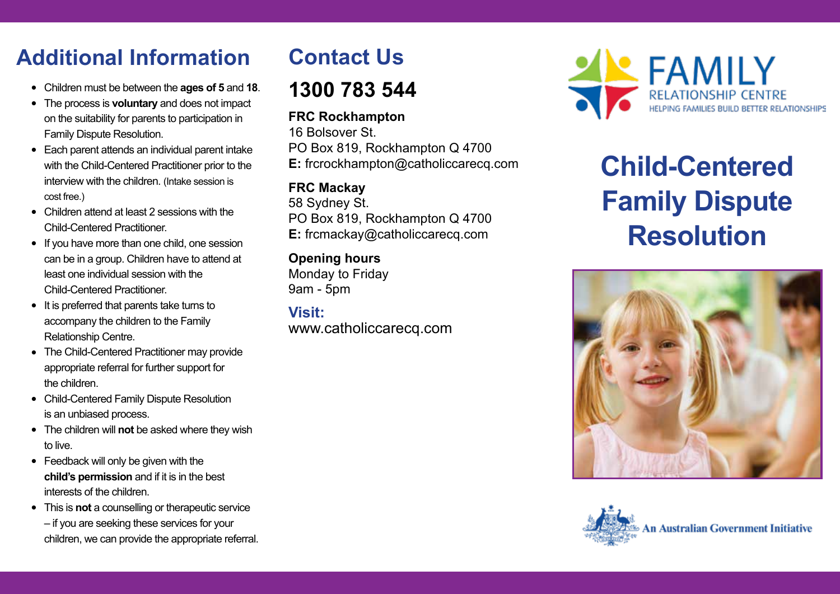# **Additional Information**

- <sup>l</sup> Children must be between the **ages of 5** and **18**.
- The process is **voluntary** and does not impact on the suitability for parents to participation in Family Dispute Resolution.
- Each parent attends an individual parent intake with the Child-Centered Practitioner prior to the interview with the children. (Intake session is cost free.)
- Children attend at least 2 sessions with the Child-Centered Practitioner.
- If you have more than one child, one session can be in a group. Children have to attend at least one individual session with the Child-Centered Practitioner.
- $\bullet$  It is preferred that parents take turns to accompany the children to the Family Relationship Centre.
- The Child-Centered Practitioner may provide appropriate referral for further support for the children.
- Child-Centered Family Dispute Resolution is an unbiased process.
- The children will **not** be asked where they wish to live.
- $\bullet$  Feedback will only be given with the **child's permission** and if it is in the best interests of the children.
- This is **not** a counselling or therapeutic service – if you are seeking these services for your

#### children, we can provide the appropriate referral.

# **Contact Us**

### **1300 783 544**

#### **FRC Rockhampton**

16 Bolsover St. PO Box 819, Rockhampton Q 4700 **E:** frcrockhampton@catholiccarecq.com

#### **FRC Mackay**

58 Sydney St. PO Box 819, Rockhampton Q 4700 **E:** frcmackay@catholiccarecq.com

#### **Opening hours**

Monday to Friday 9am - 5pm

**Visit:** www.catholiccarecq.com



# **Child-Centered Family Dispute Resolution**